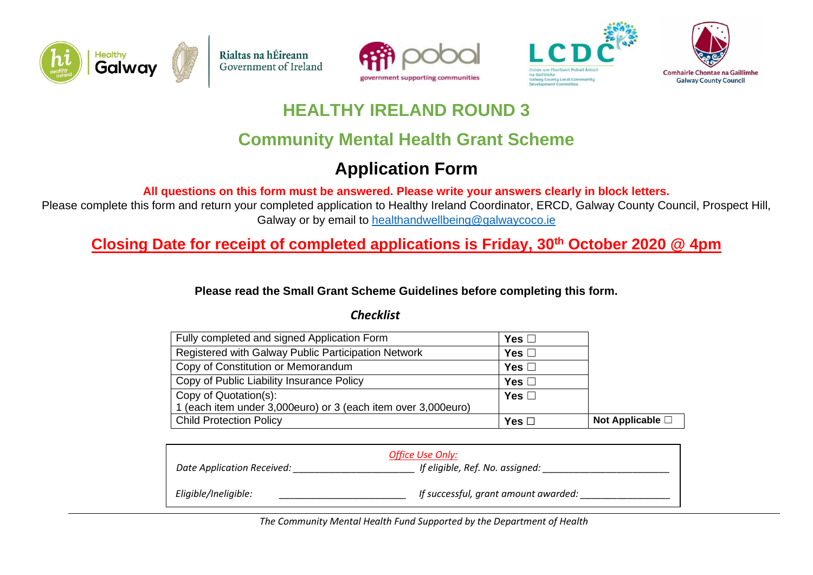









### **HEALTHY IRELAND ROUND 3**

## **Community Mental Health Grant Scheme**

# **Application Form**

**All questions on this form must be answered. Please write your answers clearly in block letters.** 

Please complete this form and return your completed application to Healthy Ireland Coordinator, ERCD, Galway County Council, Prospect Hill, Galway or by email to [healthandwellbeing@galwaycoco.ie](mailto:healthandwellbeing@galwaycoco.ie)

**Closing Date for receipt of completed applications is Friday, 30th October 2020 @ 4pm**

**Please read the Small Grant Scheme Guidelines before completing this form.**

#### *Checklist*

| Fully completed and signed Application Form                   | Yes $\Box$    |                  |
|---------------------------------------------------------------|---------------|------------------|
| Registered with Galway Public Participation Network           | Yes $\square$ |                  |
| Copy of Constitution or Memorandum                            | Yes $\Box$    |                  |
| Copy of Public Liability Insurance Policy                     | Yes $\Box$    |                  |
| Copy of Quotation(s):                                         | Yes $\square$ |                  |
| 1 (each item under 3,000euro) or 3 (each item over 3,000euro) |               |                  |
| <b>Child Protection Policy</b>                                | Yes $\square$ | Not Applicable □ |

|                            | Office Use Only:                     |
|----------------------------|--------------------------------------|
| Date Application Received: | If eligible, Ref. No. assigned:      |
|                            |                                      |
| Eligible/Ineligible:       | If successful, grant amount awarded: |

*The Community Mental Health Fund Supported by the Department of Health*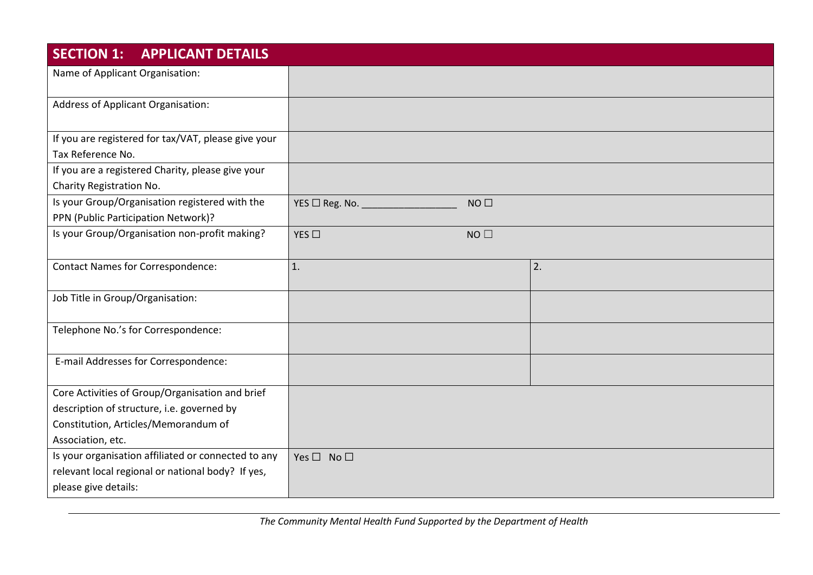| <b>SECTION 1:</b><br><b>APPLICANT DETAILS</b>                                         |                                               |    |
|---------------------------------------------------------------------------------------|-----------------------------------------------|----|
| Name of Applicant Organisation:                                                       |                                               |    |
| Address of Applicant Organisation:                                                    |                                               |    |
| If you are registered for tax/VAT, please give your<br>Tax Reference No.              |                                               |    |
| If you are a registered Charity, please give your<br>Charity Registration No.         |                                               |    |
| Is your Group/Organisation registered with the<br>PPN (Public Participation Network)? | YES $\Box$ Reg. No. $\Box$<br>NO <sub>1</sub> |    |
| Is your Group/Organisation non-profit making?                                         | NO<br>YES $\square$                           |    |
| <b>Contact Names for Correspondence:</b>                                              | 1.                                            | 2. |
| Job Title in Group/Organisation:                                                      |                                               |    |
| Telephone No.'s for Correspondence:                                                   |                                               |    |
| E-mail Addresses for Correspondence:                                                  |                                               |    |
| Core Activities of Group/Organisation and brief                                       |                                               |    |
| description of structure, i.e. governed by                                            |                                               |    |
| Constitution, Articles/Memorandum of<br>Association, etc.                             |                                               |    |
| Is your organisation affiliated or connected to any                                   | Yes $\square$ No $\square$                    |    |
| relevant local regional or national body? If yes,                                     |                                               |    |
| please give details:                                                                  |                                               |    |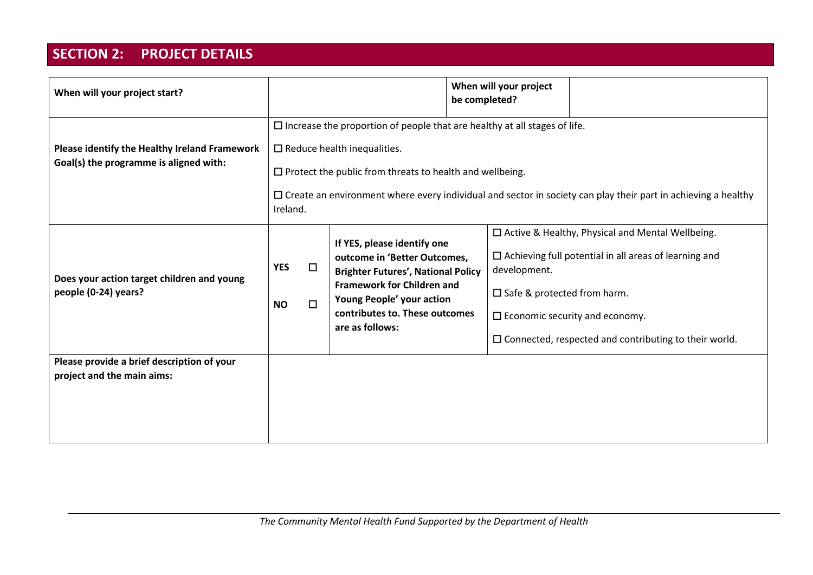### **SECTION 2: PROJECT DETAILS**

| When will your project start?                                                           |                                                                                                                                                                                                                                                                                                                                     |                  |                                                                                                                                                                                                                                 | be completed? | When will your project                                                                                                                                                                                                                                                                        |  |
|-----------------------------------------------------------------------------------------|-------------------------------------------------------------------------------------------------------------------------------------------------------------------------------------------------------------------------------------------------------------------------------------------------------------------------------------|------------------|---------------------------------------------------------------------------------------------------------------------------------------------------------------------------------------------------------------------------------|---------------|-----------------------------------------------------------------------------------------------------------------------------------------------------------------------------------------------------------------------------------------------------------------------------------------------|--|
| Please identify the Healthy Ireland Framework<br>Goal(s) the programme is aligned with: | $\square$ Increase the proportion of people that are healthy at all stages of life.<br>$\square$ Reduce health inequalities.<br>$\Box$ Protect the public from threats to health and wellbeing.<br>$\Box$ Create an environment where every individual and sector in society can play their part in achieving a healthy<br>Ireland. |                  |                                                                                                                                                                                                                                 |               |                                                                                                                                                                                                                                                                                               |  |
| Does your action target children and young<br>people (0-24) years?                      | <b>YES</b><br><b>NO</b>                                                                                                                                                                                                                                                                                                             | $\Box$<br>$\Box$ | If YES, please identify one<br>outcome in 'Better Outcomes,<br><b>Brighter Futures', National Policy</b><br><b>Framework for Children and</b><br>Young People' your action<br>contributes to. These outcomes<br>are as follows: |               | □ Active & Healthy, Physical and Mental Wellbeing.<br>$\square$ Achieving full potential in all areas of learning and<br>development.<br>$\square$ Safe & protected from harm.<br>$\square$ Economic security and economy.<br>$\square$ Connected, respected and contributing to their world. |  |
| Please provide a brief description of your<br>project and the main aims:                |                                                                                                                                                                                                                                                                                                                                     |                  |                                                                                                                                                                                                                                 |               |                                                                                                                                                                                                                                                                                               |  |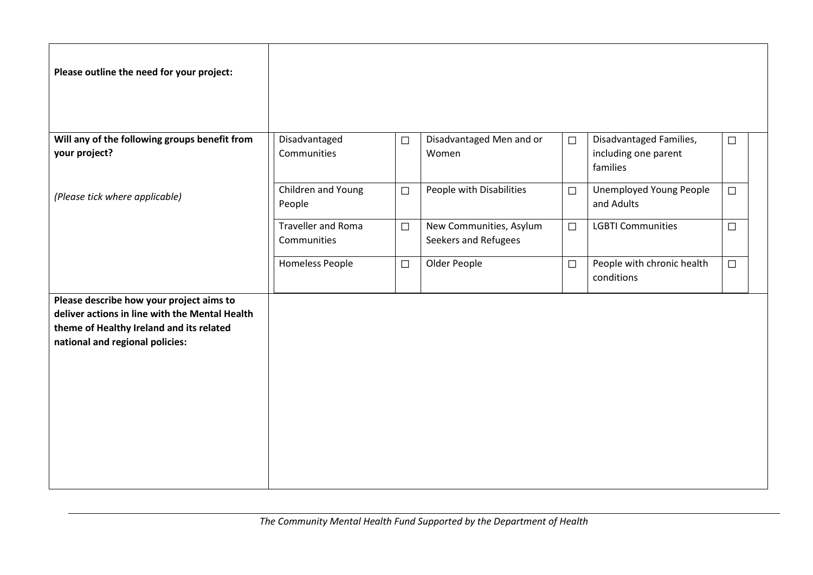| Please outline the need for your project:                                                                                                                                 |                                          |        |                                                 |        |                                              |        |  |
|---------------------------------------------------------------------------------------------------------------------------------------------------------------------------|------------------------------------------|--------|-------------------------------------------------|--------|----------------------------------------------|--------|--|
| Will any of the following groups benefit from                                                                                                                             | Disadvantaged                            | $\Box$ | Disadvantaged Men and or                        | $\Box$ | Disadvantaged Families,                      | $\Box$ |  |
| your project?                                                                                                                                                             | Communities                              |        | Women                                           |        | including one parent<br>families             |        |  |
| (Please tick where applicable)                                                                                                                                            | Children and Young<br>People             | $\Box$ | People with Disabilities                        | $\Box$ | <b>Unemployed Young People</b><br>and Adults | $\Box$ |  |
|                                                                                                                                                                           | <b>Traveller and Roma</b><br>Communities | $\Box$ | New Communities, Asylum<br>Seekers and Refugees | $\Box$ | <b>LGBTI Communities</b>                     | $\Box$ |  |
|                                                                                                                                                                           | <b>Homeless People</b>                   | $\Box$ | Older People                                    | $\Box$ | People with chronic health<br>conditions     | $\Box$ |  |
| Please describe how your project aims to<br>deliver actions in line with the Mental Health<br>theme of Healthy Ireland and its related<br>national and regional policies: |                                          |        |                                                 |        |                                              |        |  |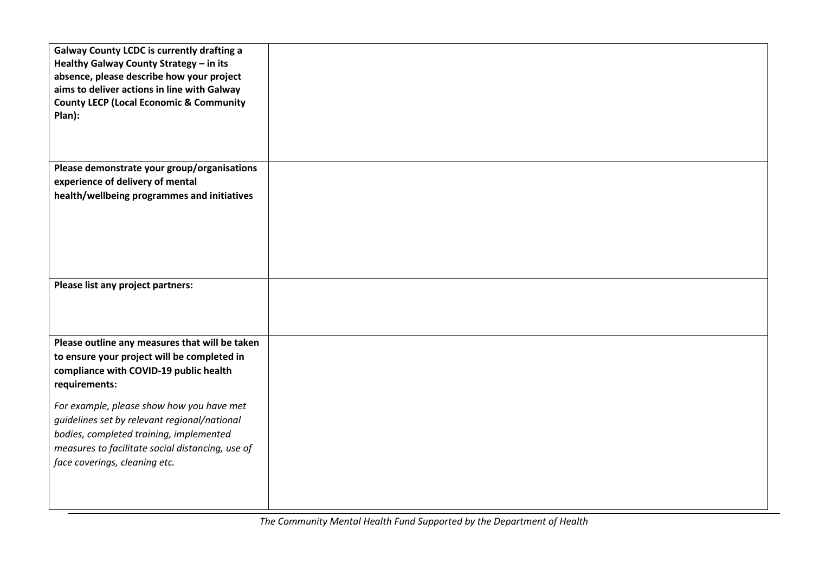| <b>Galway County LCDC is currently drafting a</b><br>Healthy Galway County Strategy - in its<br>absence, please describe how your project<br>aims to deliver actions in line with Galway<br><b>County LECP (Local Economic &amp; Community</b><br>Plan): |  |
|----------------------------------------------------------------------------------------------------------------------------------------------------------------------------------------------------------------------------------------------------------|--|
|                                                                                                                                                                                                                                                          |  |
| Please demonstrate your group/organisations<br>experience of delivery of mental<br>health/wellbeing programmes and initiatives                                                                                                                           |  |
| Please list any project partners:                                                                                                                                                                                                                        |  |
| Please outline any measures that will be taken<br>to ensure your project will be completed in<br>compliance with COVID-19 public health<br>requirements:                                                                                                 |  |
| For example, please show how you have met<br>guidelines set by relevant regional/national<br>bodies, completed training, implemented<br>measures to facilitate social distancing, use of<br>face coverings, cleaning etc.                                |  |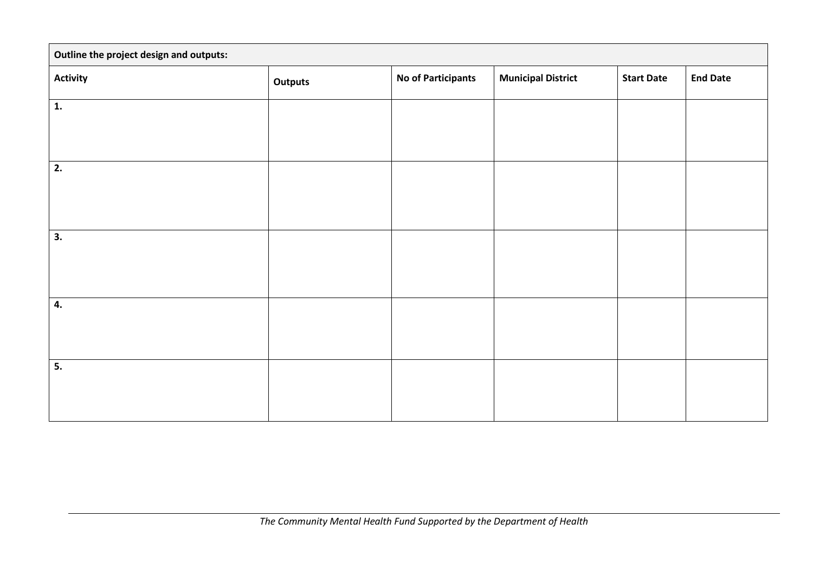| Outline the project design and outputs: |         |                           |                           |                   |                 |
|-----------------------------------------|---------|---------------------------|---------------------------|-------------------|-----------------|
| <b>Activity</b>                         | Outputs | <b>No of Participants</b> | <b>Municipal District</b> | <b>Start Date</b> | <b>End Date</b> |
| $\mathbf{1}$ .                          |         |                           |                           |                   |                 |
|                                         |         |                           |                           |                   |                 |
| 2.                                      |         |                           |                           |                   |                 |
|                                         |         |                           |                           |                   |                 |
| 3.                                      |         |                           |                           |                   |                 |
|                                         |         |                           |                           |                   |                 |
|                                         |         |                           |                           |                   |                 |
| 4.                                      |         |                           |                           |                   |                 |
|                                         |         |                           |                           |                   |                 |
| 5.                                      |         |                           |                           |                   |                 |
|                                         |         |                           |                           |                   |                 |
|                                         |         |                           |                           |                   |                 |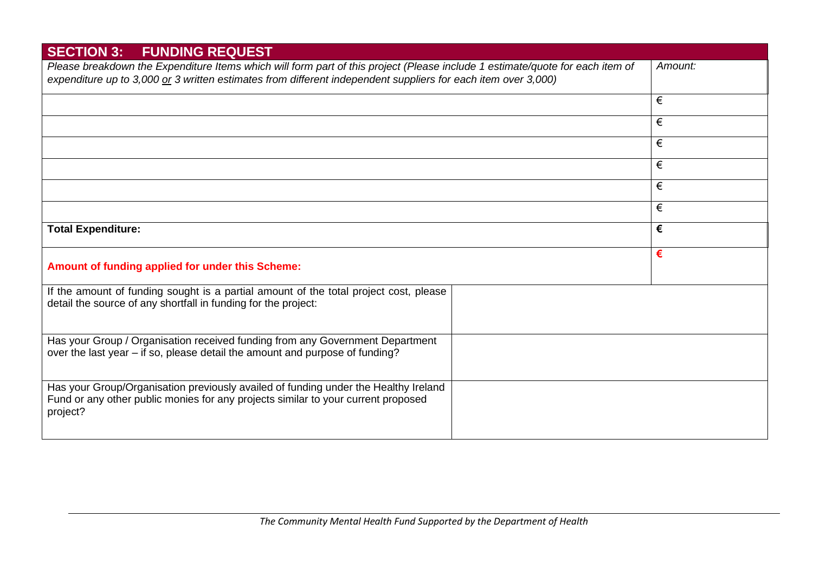| <b>SECTION 3: FUNDING REQUEST</b>                                                                                                                                                    |         |
|--------------------------------------------------------------------------------------------------------------------------------------------------------------------------------------|---------|
| Please breakdown the Expenditure Items which will form part of this project (Please include 1 estimate/quote for each item of                                                        | Amount: |
| expenditure up to 3,000 or 3 written estimates from different independent suppliers for each item over 3,000)                                                                        |         |
|                                                                                                                                                                                      | €       |
|                                                                                                                                                                                      | €       |
|                                                                                                                                                                                      | €       |
|                                                                                                                                                                                      | €       |
|                                                                                                                                                                                      | €       |
|                                                                                                                                                                                      | €       |
| <b>Total Expenditure:</b>                                                                                                                                                            | €       |
| Amount of funding applied for under this Scheme:                                                                                                                                     | €       |
| If the amount of funding sought is a partial amount of the total project cost, please<br>detail the source of any shortfall in funding for the project:                              |         |
| Has your Group / Organisation received funding from any Government Department<br>over the last year – if so, please detail the amount and purpose of funding?                        |         |
| Has your Group/Organisation previously availed of funding under the Healthy Ireland<br>Fund or any other public monies for any projects similar to your current proposed<br>project? |         |